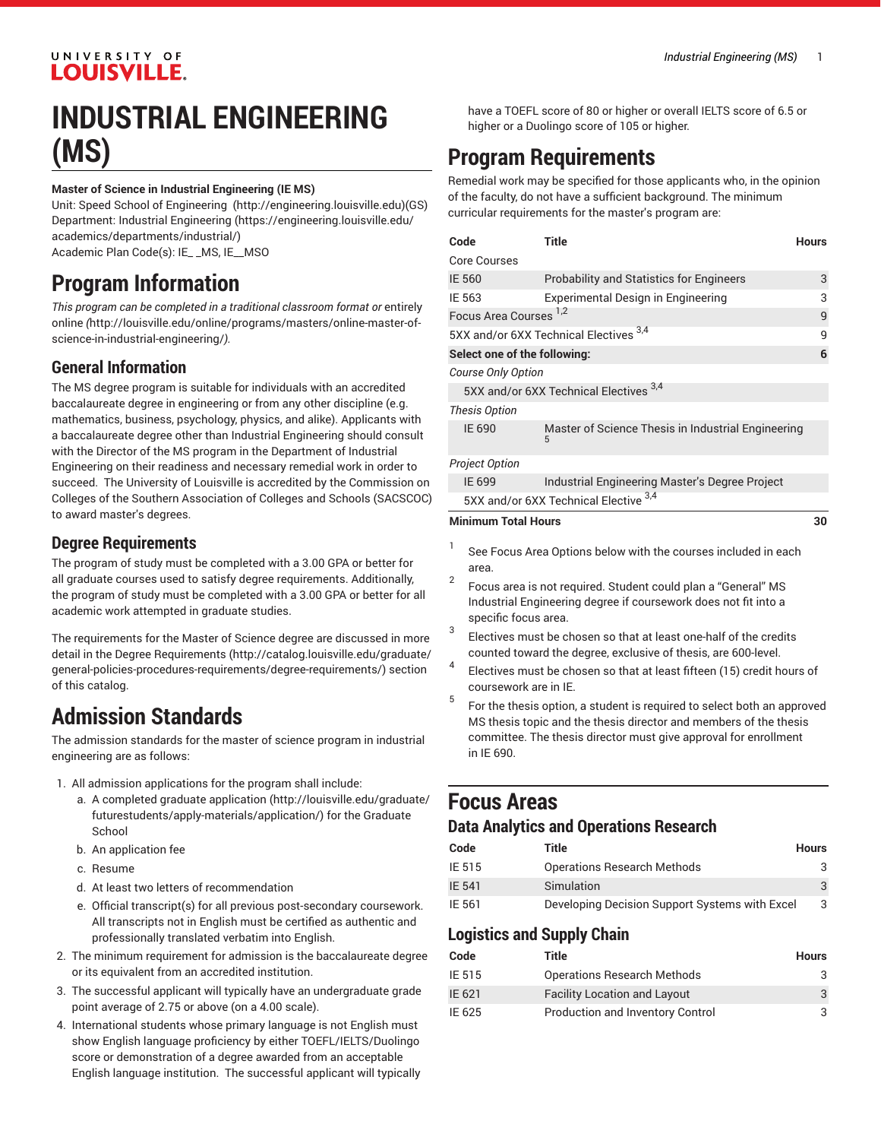### UNIVERSITY OF **LOUISVILLE.**

## **INDUSTRIAL ENGINEERING (MS)**

#### **Master of Science in Industrial Engineering (IE MS)**

Unit: [Speed School of Engineering](http://engineering.louisville.edu) (<http://engineering.louisville.edu>)(GS) Department: [Industrial Engineering](https://engineering.louisville.edu/academics/departments/industrial/) ([https://engineering.louisville.edu/](https://engineering.louisville.edu/academics/departments/industrial/) [academics/departments/industrial/\)](https://engineering.louisville.edu/academics/departments/industrial/) Academic Plan Code(s): IE\_ \_MS, IE\_\_MSO

### **Program Information**

*This program can be completed in a traditional classroom format or* [entirely](http://louisville.edu/online/programs/masters/online-master-of-science-in-industrial-engineering/) [online](http://louisville.edu/online/programs/masters/online-master-of-science-in-industrial-engineering/) *(*[http://louisville.edu/online/programs/masters/online-master-of](http://louisville.edu/online/programs/masters/online-master-of-science-in-industrial-engineering/)[science-in-industrial-engineering/](http://louisville.edu/online/programs/masters/online-master-of-science-in-industrial-engineering/)*).*

### **General Information**

The MS degree program is suitable for individuals with an accredited baccalaureate degree in engineering or from any other discipline (e.g. mathematics, business, psychology, physics, and alike). Applicants with a baccalaureate degree other than Industrial Engineering should consult with the Director of the MS program in the Department of Industrial Engineering on their readiness and necessary remedial work in order to succeed. The University of Louisville is accredited by the Commission on Colleges of the Southern Association of Colleges and Schools (SACSCOC) to award master's degrees.

#### **Degree Requirements**

The program of study must be completed with a 3.00 GPA or better for all graduate courses used to satisfy degree requirements. Additionally, the program of study must be completed with a 3.00 GPA or better for all academic work attempted in graduate studies.

The requirements for the Master of Science degree are discussed in more detail in the Degree [Requirements](http://catalog.louisville.edu/graduate/general-policies-procedures-requirements/degree-requirements/) ([http://catalog.louisville.edu/graduate/](http://catalog.louisville.edu/graduate/general-policies-procedures-requirements/degree-requirements/) [general-policies-procedures-requirements/degree-requirements/\)](http://catalog.louisville.edu/graduate/general-policies-procedures-requirements/degree-requirements/) section of this catalog.

### **Admission Standards**

The admission standards for the master of science program in industrial engineering are as follows:

- 1. All admission applications for the program shall include:
	- a. A completed [graduate application](http://louisville.edu/graduate/futurestudents/apply-materials/application/) ([http://louisville.edu/graduate/](http://louisville.edu/graduate/futurestudents/apply-materials/application/) [futurestudents/apply-materials/application/\)](http://louisville.edu/graduate/futurestudents/apply-materials/application/) for the Graduate School
	- b. An application fee
	- c. Resume
	- d. At least two letters of recommendation
	- e. Official transcript(s) for all previous post-secondary coursework. All transcripts not in English must be certified as authentic and professionally translated verbatim into English.
- 2. The minimum requirement for admission is the baccalaureate degree or its equivalent from an accredited institution.
- 3. The successful applicant will typically have an undergraduate grade point average of 2.75 or above (on a 4.00 scale).
- 4. International students whose primary language is not English must show English language proficiency by either TOEFL/IELTS/Duolingo score or demonstration of a degree awarded from an acceptable English language institution. The successful applicant will typically

have a TOEFL score of 80 or higher or overall IELTS score of 6.5 or higher or a Duolingo score of 105 or higher.

### **Program Requirements**

Remedial work may be specified for those applicants who, in the opinion of the faculty, do not have a sufficient background. The minimum curricular requirements for the master's program are:

| Code                                   |                    | Title                                                          | <b>Hours</b> |  |
|----------------------------------------|--------------------|----------------------------------------------------------------|--------------|--|
| <b>Core Courses</b>                    |                    |                                                                |              |  |
| IE 560                                 |                    | <b>Probability and Statistics for Engineers</b>                | 3            |  |
| IE 563                                 |                    | Experimental Design in Engineering                             | 3            |  |
| Focus Area Courses <sup>1,2</sup>      |                    |                                                                | 9            |  |
| 5XX and/or 6XX Technical Electives 3,4 |                    |                                                                |              |  |
| Select one of the following:           |                    |                                                                | 6            |  |
|                                        | Course Only Option |                                                                |              |  |
| 5XX and/or 6XX Technical Electives 3,4 |                    |                                                                |              |  |
| <b>Thesis Option</b>                   |                    |                                                                |              |  |
| IE 690                                 |                    | Master of Science Thesis in Industrial Engineering<br>5        |              |  |
| <b>Project Option</b>                  |                    |                                                                |              |  |
| IE 699                                 |                    | Industrial Engineering Master's Degree Project                 |              |  |
| 5XX and/or 6XX Technical Elective 3,4  |                    |                                                                |              |  |
| <b>Minimum Total Hours</b>             |                    |                                                                | 30           |  |
| 1<br>area.                             |                    | See Focus Area Options below with the courses included in each |              |  |

- 2 Focus area is not required. Student could plan a "General" MS Industrial Engineering degree if coursework does not fit into a specific focus area.
- 3 Electives must be chosen so that at least one-half of the credits counted toward the degree, exclusive of thesis, are 600-level.
- 4 Electives must be chosen so that at least fifteen (15) credit hours of coursework are in IE.
- 5 For the thesis option, a student is required to select both an approved MS thesis topic and the thesis director and members of the thesis committee. The thesis director must give approval for enrollment in IE 690.

### **Focus Areas**

#### **Data Analytics and Operations Research**

| Code          | Title                                          | <b>Hours</b> |
|---------------|------------------------------------------------|--------------|
| IE 515        | <b>Operations Research Methods</b>             |              |
| <b>IE 541</b> | Simulation                                     |              |
| IE 561        | Developing Decision Support Systems with Excel | 3            |

### **Logistics and Supply Chain**

| Code   | Title                               | Hours |
|--------|-------------------------------------|-------|
| IE 515 | <b>Operations Research Methods</b>  | - ج   |
| IE 621 | <b>Facility Location and Layout</b> | 3     |
| IE 625 | Production and Inventory Control    |       |